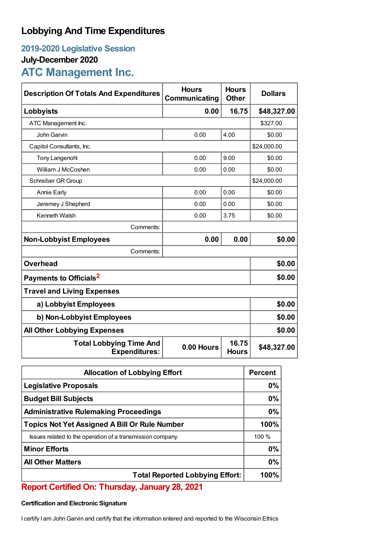## **Lobbying And Time Expenditures**

### **2019-2020 Legislative Session**

### **July-December 2020**

# **ATC Management Inc.**

| <b>Description Of Totals And Expenditures</b>          | <b>Hours</b><br>Communicating | <b>Hours</b><br><b>Other</b> | <b>Dollars</b> |  |
|--------------------------------------------------------|-------------------------------|------------------------------|----------------|--|
| Lobbyists                                              | 0.00                          | 16.75                        | \$48,327.00    |  |
| ATC Management Inc.                                    |                               |                              | \$327.00       |  |
| John Garvin                                            | 0.00                          | 4.00                         | \$0.00         |  |
| Capitol Consultants, Inc.                              |                               |                              | \$24,000.00    |  |
| <b>Tony Langenohl</b>                                  | 0.00                          | 9.00                         | \$0.00         |  |
| William J McCoshen                                     | 0.00                          | 0.00                         | \$0.00         |  |
| Schreiber GR Group                                     |                               |                              | \$24,000.00    |  |
| <b>Annie Early</b>                                     | 0.00                          | 0.00                         | \$0.00         |  |
| Jeremey J Shepherd                                     | 0.00                          | 0.00                         | \$0.00         |  |
| Kenneth Walsh                                          | 0.00                          | 3.75                         | \$0.00         |  |
| Comments:                                              |                               |                              |                |  |
| <b>Non-Lobbyist Employees</b>                          | 0.00                          | 0.00                         | \$0.00         |  |
| Comments:                                              |                               |                              |                |  |
| <b>Overhead</b>                                        |                               |                              | \$0.00         |  |
| Payments to Officials <sup>2</sup>                     |                               |                              | \$0.00         |  |
| <b>Travel and Living Expenses</b>                      |                               |                              |                |  |
| a) Lobbyist Employees                                  | \$0.00                        |                              |                |  |
| b) Non-Lobbyist Employees                              | \$0.00                        |                              |                |  |
| <b>All Other Lobbying Expenses</b>                     |                               |                              | \$0.00         |  |
| <b>Total Lobbying Time And</b><br><b>Expenditures:</b> | 0.00 Hours                    | 16.75<br><b>Hours</b>        | \$48,327.00    |  |

| <b>Allocation of Lobbying Effort</b>                       |          |
|------------------------------------------------------------|----------|
| <b>Legislative Proposals</b>                               | 0%       |
| <b>Budget Bill Subjects</b>                                | 0%       |
| <b>Administrative Rulemaking Proceedings</b>               |          |
| <b>Topics Not Yet Assigned A Bill Or Rule Number</b>       |          |
| Issues related to the operation of a transmission company. | $100 \%$ |
| <b>Minor Efforts</b>                                       | 0%       |
| <b>All Other Matters</b>                                   |          |
| <b>Total Reported Lobbying Effort:</b>                     | 100%     |

# **Report Certified On: Thursday, January 28, 2021**

#### **Certification and Electronic Signature**

I certify I am John Garvin and certify that the information entered and reported to the Wisconsin Ethics